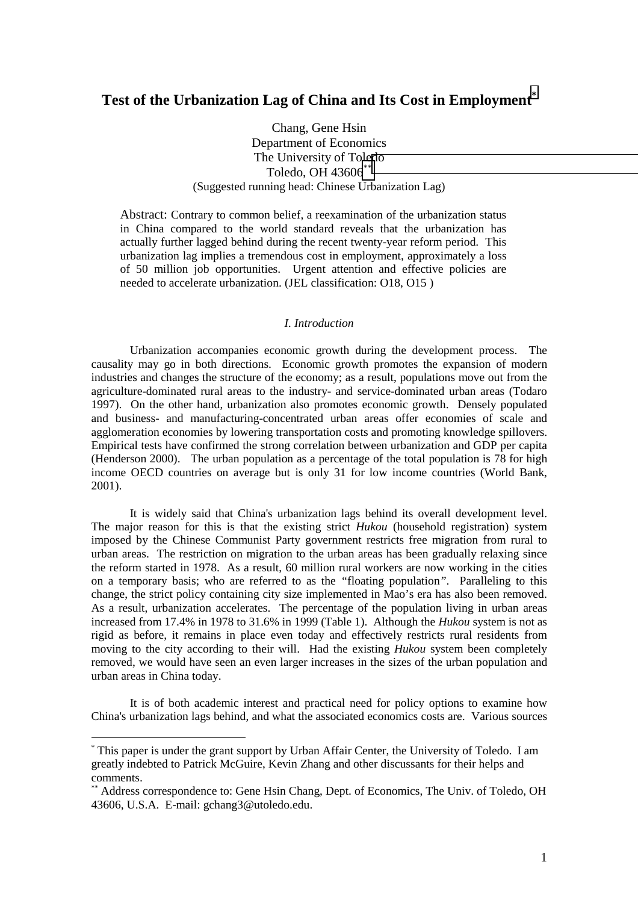# **Test of the Urbanization Lag of China and Its Cost in Employment\***

Chang, Gene Hsin Department of Economics The University of Toledo Toledo, OH 43606<sup>\*\*</sup> (Suggested running head: Chinese Urbanization Lag)

Abstract: Contrary to common belief, a reexamination of the urbanization status in China compared to the world standard reveals that the urbanization has actually further lagged behind during the recent twenty-year reform period. This urbanization lag implies a tremendous cost in employment, approximately a loss of 50 million job opportunities. Urgent attention and effective policies are needed to accelerate urbanization. (JEL classification: O18, O15 )

#### *I. Introduction*

Urbanization accompanies economic growth during the development process. The causality may go in both directions. Economic growth promotes the expansion of modern industries and changes the structure of the economy; as a result, populations move out from the agriculture-dominated rural areas to the industry- and service-dominated urban areas (Todaro 1997). On the other hand, urbanization also promotes economic growth. Densely populated and business- and manufacturing-concentrated urban areas offer economies of scale and agglomeration economies by lowering transportation costs and promoting knowledge spillovers. Empirical tests have confirmed the strong correlation between urbanization and GDP per capita (Henderson 2000). The urban population as a percentage of the total population is 78 for high income OECD countries on average but is only 31 for low income countries (World Bank, 2001).

It is widely said that China's urbanization lags behind its overall development level. The major reason for this is that the existing strict *Hukou* (household registration) system imposed by the Chinese Communist Party government restricts free migration from rural to urban areas. The restriction on migration to the urban areas has been gradually relaxing since the reform started in 1978. As a result, 60 million rural workers are now working in the cities on a temporary basis; who are referred to as the *"*floating population*"*. Paralleling to this change, the strict policy containing city size implemented in Mao's era has also been removed. As a result, urbanization accelerates. The percentage of the population living in urban areas increased from 17.4% in 1978 to 31.6% in 1999 (Table 1). Although the *Hukou* system is not as rigid as before, it remains in place even today and effectively restricts rural residents from moving to the city according to their will. Had the existing *Hukou* system been completely removed, we would have seen an even larger increases in the sizes of the urban population and urban areas in China today.

It is of both academic interest and practical need for policy options to examine how China's urbanization lags behind, and what the associated economics costs are. Various sources

<sup>\*</sup> This paper is under the grant support by Urban Affair Center, the University of Toledo. I am greatly indebted to Patrick McGuire, Kevin Zhang and other discussants for their helps and comments.

<sup>\*\*</sup> Address correspondence to: Gene Hsin Chang, Dept. of Economics, The Univ. of Toledo, OH 43606, U.S.A. E-mail: gchang3@utoledo.edu.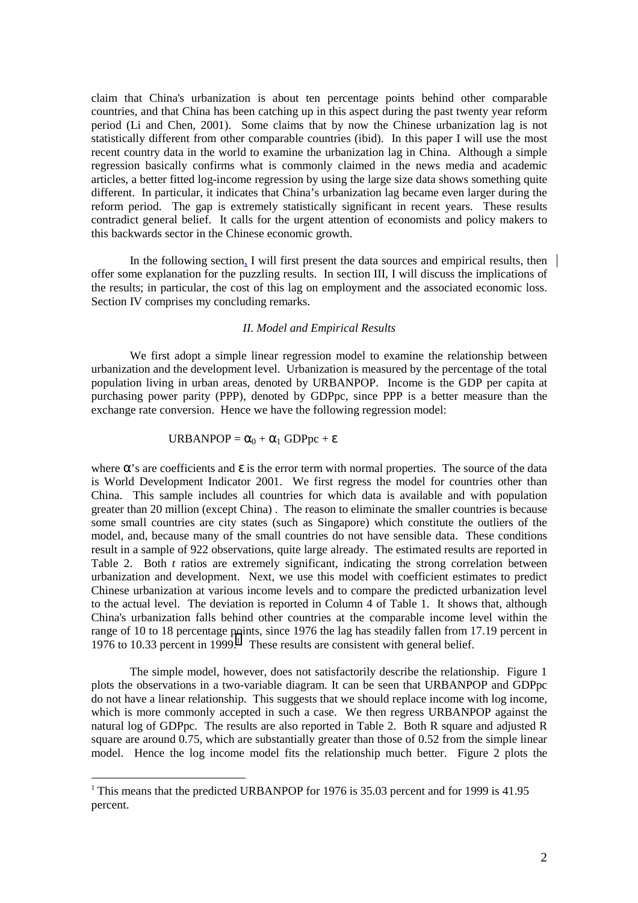claim that China's urbanization is about ten percentage points behind other comparable countries, and that China has been catching up in this aspect during the past twenty year reform period (Li and Chen, 2001). Some claims that by now the Chinese urbanization lag is not statistically different from other comparable countries (ibid). In this paper I will use the most recent country data in the world to examine the urbanization lag in China. Although a simple regression basically confirms what is commonly claimed in the news media and academic articles, a better fitted log-income regression by using the large size data shows something quite different. In particular, it indicates that China's urbanization lag became even larger during the reform period. The gap is extremely statistically significant in recent years. These results contradict general belief. It calls for the urgent attention of economists and policy makers to this backwards sector in the Chinese economic growth.

In the following section, I will first present the data sources and empirical results, then offer some explanation for the puzzling results. In section III, I will discuss the implications of the results; in particular, the cost of this lag on employment and the associated economic loss. Section IV comprises my concluding remarks.

#### *II. Model and Empirical Results*

We first adopt a simple linear regression model to examine the relationship between urbanization and the development level. Urbanization is measured by the percentage of the total population living in urban areas, denoted by URBANPOP. Income is the GDP per capita at purchasing power parity (PPP), denoted by GDPpc, since PPP is a better measure than the exchange rate conversion. Hence we have the following regression model:

#### URBANPOP =  $\alpha_0 + \alpha_1$  GDPpc +  $\varepsilon$

where  $\alpha$ 's are coefficients and  $\varepsilon$  is the error term with normal properties. The source of the data is World Development Indicator 2001. We first regress the model for countries other than China. This sample includes all countries for which data is available and with population greater than 20 million (except China) . The reason to eliminate the smaller countries is because some small countries are city states (such as Singapore) which constitute the outliers of the model, and, because many of the small countries do not have sensible data. These conditions result in a sample of 922 observations, quite large already. The estimated results are reported in Table 2. Both *t* ratios are extremely significant, indicating the strong correlation between urbanization and development. Next, we use this model with coefficient estimates to predict Chinese urbanization at various income levels and to compare the predicted urbanization level to the actual level. The deviation is reported in Column 4 of Table 1. It shows that, although China's urbanization falls behind other countries at the comparable income level within the range of 10 to 18 percentage points, since 1976 the lag has steadily fallen from 17.19 percent in 1976 to 10.33 percent in  $1999$ .<sup>1</sup> These results are consistent with general belief.

The simple model, however, does not satisfactorily describe the relationship. Figure 1 plots the observations in a two-variable diagram. It can be seen that URBANPOP and GDPpc do not have a linear relationship. This suggests that we should replace income with log income, which is more commonly accepted in such a case. We then regress URBANPOP against the natural log of GDPpc. The results are also reported in Table 2. Both R square and adjusted R square are around 0.75, which are substantially greater than those of 0.52 from the simple linear model. Hence the log income model fits the relationship much better. Figure 2 plots the

<sup>&</sup>lt;sup>1</sup> This means that the predicted URBANPOP for 1976 is 35.03 percent and for 1999 is 41.95 percent.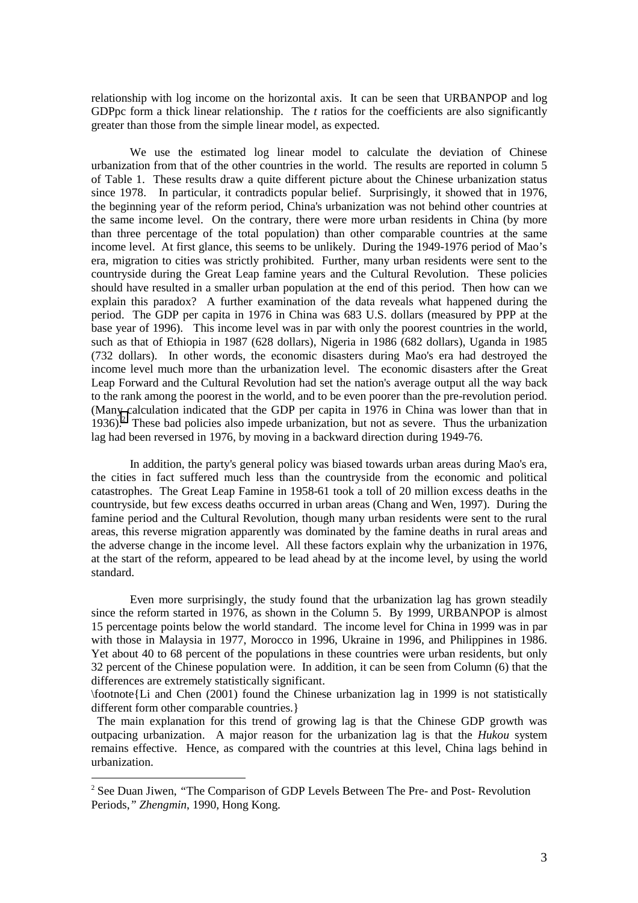relationship with log income on the horizontal axis. It can be seen that URBANPOP and log GDPpc form a thick linear relationship. The *t* ratios for the coefficients are also significantly greater than those from the simple linear model, as expected.

We use the estimated log linear model to calculate the deviation of Chinese urbanization from that of the other countries in the world. The results are reported in column 5 of Table 1. These results draw a quite different picture about the Chinese urbanization status since 1978. In particular, it contradicts popular belief. Surprisingly, it showed that in 1976, the beginning year of the reform period, China's urbanization was not behind other countries at the same income level. On the contrary, there were more urban residents in China (by more than three percentage of the total population) than other comparable countries at the same income level. At first glance, this seems to be unlikely. During the 1949-1976 period of Mao's era, migration to cities was strictly prohibited. Further, many urban residents were sent to the countryside during the Great Leap famine years and the Cultural Revolution. These policies should have resulted in a smaller urban population at the end of this period. Then how can we explain this paradox? A further examination of the data reveals what happened during the period. The GDP per capita in 1976 in China was 683 U.S. dollars (measured by PPP at the base year of 1996). This income level was in par with only the poorest countries in the world, such as that of Ethiopia in 1987 (628 dollars), Nigeria in 1986 (682 dollars), Uganda in 1985 (732 dollars). In other words, the economic disasters during Mao's era had destroyed the income level much more than the urbanization level. The economic disasters after the Great Leap Forward and the Cultural Revolution had set the nation's average output all the way back to the rank among the poorest in the world, and to be even poorer than the pre-revolution period. (Many calculation indicated that the GDP per capita in 1976 in China was lower than that in  $1936$ .<sup>2</sup> These bad policies also impede urbanization, but not as severe. Thus the urbanization lag had been reversed in 1976, by moving in a backward direction during 1949-76.

 In addition, the party's general policy was biased towards urban areas during Mao's era, the cities in fact suffered much less than the countryside from the economic and political catastrophes. The Great Leap Famine in 1958-61 took a toll of 20 million excess deaths in the countryside, but few excess deaths occurred in urban areas (Chang and Wen, 1997). During the famine period and the Cultural Revolution, though many urban residents were sent to the rural areas, this reverse migration apparently was dominated by the famine deaths in rural areas and the adverse change in the income level. All these factors explain why the urbanization in 1976, at the start of the reform, appeared to be lead ahead by at the income level, by using the world standard.

 Even more surprisingly, the study found that the urbanization lag has grown steadily since the reform started in 1976, as shown in the Column 5. By 1999, URBANPOP is almost 15 percentage points below the world standard. The income level for China in 1999 was in par with those in Malaysia in 1977, Morocco in 1996, Ukraine in 1996, and Philippines in 1986. Yet about 40 to 68 percent of the populations in these countries were urban residents, but only 32 percent of the Chinese population were. In addition, it can be seen from Column (6) that the differences are extremely statistically significant.

\footnote{Li and Chen (2001) found the Chinese urbanization lag in 1999 is not statistically different form other comparable countries.}

 The main explanation for this trend of growing lag is that the Chinese GDP growth was outpacing urbanization. A major reason for the urbanization lag is that the *Hukou* system remains effective. Hence, as compared with the countries at this level, China lags behind in urbanization.

<sup>&</sup>lt;sup>2</sup> See Duan Jiwen, "The Comparison of GDP Levels Between The Pre- and Post-Revolution Periods,*" Zhengmin*, 1990, Hong Kong.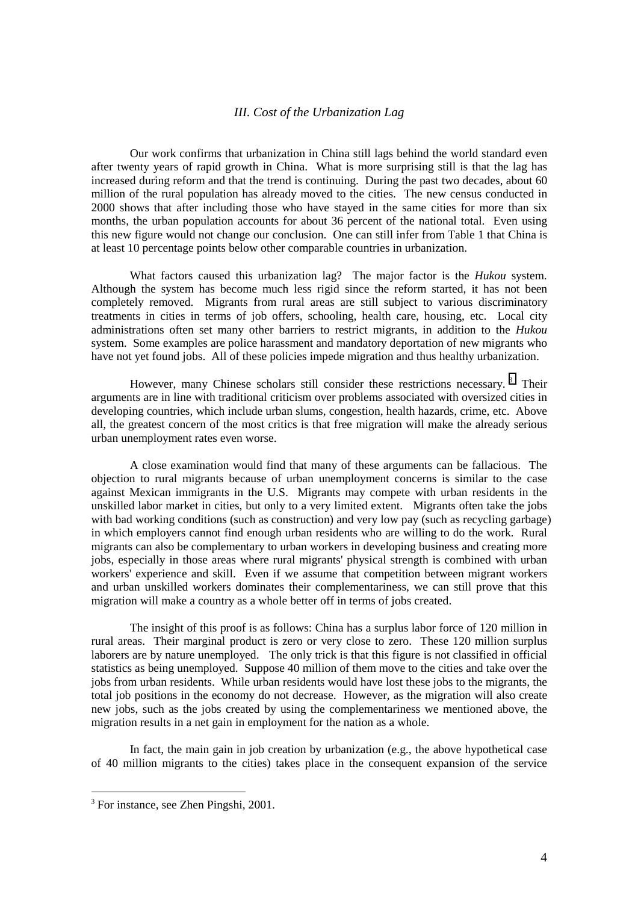### *III. Cost of the Urbanization Lag*

Our work confirms that urbanization in China still lags behind the world standard even after twenty years of rapid growth in China. What is more surprising still is that the lag has increased during reform and that the trend is continuing. During the past two decades, about 60 million of the rural population has already moved to the cities. The new census conducted in 2000 shows that after including those who have stayed in the same cities for more than six months, the urban population accounts for about 36 percent of the national total. Even using this new figure would not change our conclusion. One can still infer from Table 1 that China is at least 10 percentage points below other comparable countries in urbanization.

What factors caused this urbanization lag? The major factor is the *Hukou* system. Although the system has become much less rigid since the reform started, it has not been completely removed. Migrants from rural areas are still subject to various discriminatory treatments in cities in terms of job offers, schooling, health care, housing, etc. Local city administrations often set many other barriers to restrict migrants, in addition to the *Hukou* system. Some examples are police harassment and mandatory deportation of new migrants who have not yet found jobs. All of these policies impede migration and thus healthy urbanization.

However, many Chinese scholars still consider these restrictions necessary.<sup>3</sup> Their arguments are in line with traditional criticism over problems associated with oversized cities in developing countries, which include urban slums, congestion, health hazards, crime, etc. Above all, the greatest concern of the most critics is that free migration will make the already serious urban unemployment rates even worse.

A close examination would find that many of these arguments can be fallacious. The objection to rural migrants because of urban unemployment concerns is similar to the case against Mexican immigrants in the U.S. Migrants may compete with urban residents in the unskilled labor market in cities, but only to a very limited extent. Migrants often take the jobs with bad working conditions (such as construction) and very low pay (such as recycling garbage) in which employers cannot find enough urban residents who are willing to do the work. Rural migrants can also be complementary to urban workers in developing business and creating more jobs, especially in those areas where rural migrants' physical strength is combined with urban workers' experience and skill. Even if we assume that competition between migrant workers and urban unskilled workers dominates their complementariness, we can still prove that this migration will make a country as a whole better off in terms of jobs created.

The insight of this proof is as follows: China has a surplus labor force of 120 million in rural areas. Their marginal product is zero or very close to zero. These 120 million surplus laborers are by nature unemployed. The only trick is that this figure is not classified in official statistics as being unemployed. Suppose 40 million of them move to the cities and take over the jobs from urban residents. While urban residents would have lost these jobs to the migrants, the total job positions in the economy do not decrease. However, as the migration will also create new jobs, such as the jobs created by using the complementariness we mentioned above, the migration results in a net gain in employment for the nation as a whole.

In fact, the main gain in job creation by urbanization (e.g., the above hypothetical case of 40 million migrants to the cities) takes place in the consequent expansion of the service

<sup>&</sup>lt;sup>3</sup> For instance, see Zhen Pingshi, 2001.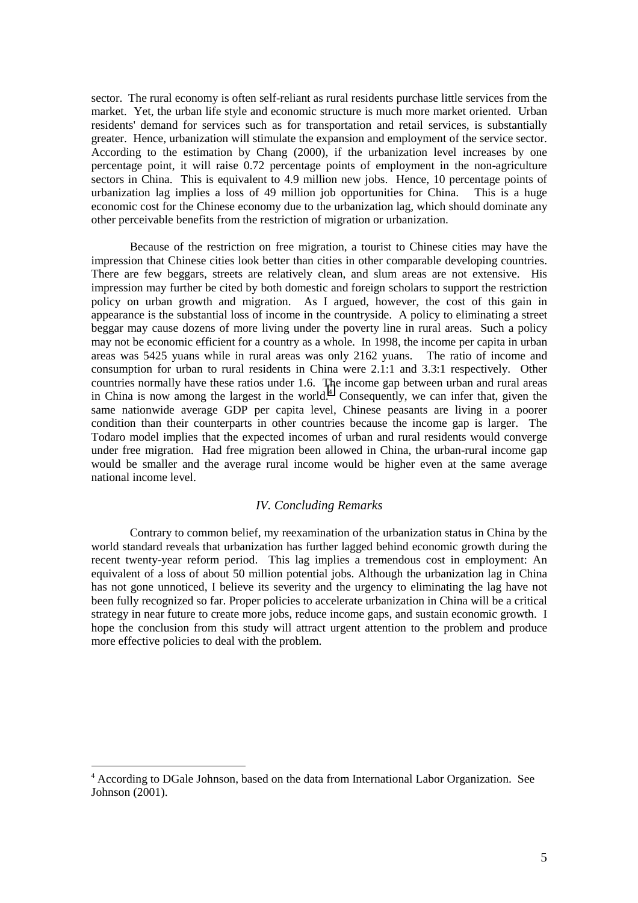sector. The rural economy is often self-reliant as rural residents purchase little services from the market. Yet, the urban life style and economic structure is much more market oriented. Urban residents' demand for services such as for transportation and retail services, is substantially greater. Hence, urbanization will stimulate the expansion and employment of the service sector. According to the estimation by Chang (2000), if the urbanization level increases by one percentage point, it will raise 0.72 percentage points of employment in the non-agriculture sectors in China. This is equivalent to 4.9 million new jobs. Hence, 10 percentage points of urbanization lag implies a loss of 49 million job opportunities for China. This is a huge economic cost for the Chinese economy due to the urbanization lag, which should dominate any other perceivable benefits from the restriction of migration or urbanization.

Because of the restriction on free migration, a tourist to Chinese cities may have the impression that Chinese cities look better than cities in other comparable developing countries. There are few beggars, streets are relatively clean, and slum areas are not extensive. His impression may further be cited by both domestic and foreign scholars to support the restriction policy on urban growth and migration. As I argued, however, the cost of this gain in appearance is the substantial loss of income in the countryside. A policy to eliminating a street beggar may cause dozens of more living under the poverty line in rural areas. Such a policy may not be economic efficient for a country as a whole. In 1998, the income per capita in urban areas was 5425 yuans while in rural areas was only 2162 yuans. The ratio of income and consumption for urban to rural residents in China were 2.1:1 and 3.3:1 respectively. Other countries normally have these ratios under 1.6. The income gap between urban and rural areas in China is now among the largest in the world.<sup>4</sup> Consequently, we can infer that, given the same nationwide average GDP per capita level, Chinese peasants are living in a poorer condition than their counterparts in other countries because the income gap is larger. The Todaro model implies that the expected incomes of urban and rural residents would converge under free migration. Had free migration been allowed in China, the urban-rural income gap would be smaller and the average rural income would be higher even at the same average national income level.

#### *IV. Concluding Remarks*

Contrary to common belief, my reexamination of the urbanization status in China by the world standard reveals that urbanization has further lagged behind economic growth during the recent twenty-year reform period. This lag implies a tremendous cost in employment: An equivalent of a loss of about 50 million potential jobs. Although the urbanization lag in China has not gone unnoticed, I believe its severity and the urgency to eliminating the lag have not been fully recognized so far. Proper policies to accelerate urbanization in China will be a critical strategy in near future to create more jobs, reduce income gaps, and sustain economic growth. I hope the conclusion from this study will attract urgent attention to the problem and produce more effective policies to deal with the problem.

<sup>4</sup> According to DGale Johnson, based on the data from International Labor Organization. See Johnson (2001).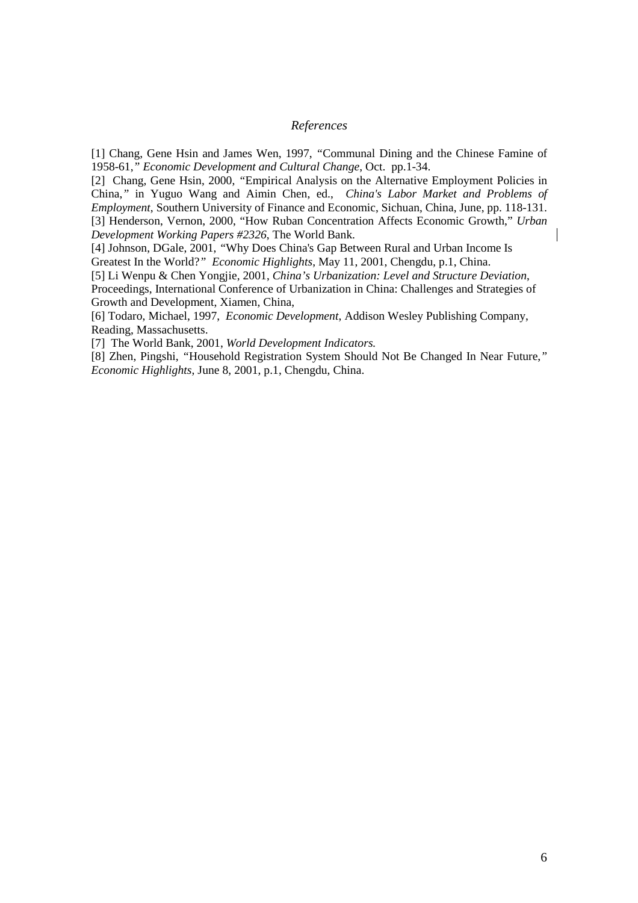## *References*

[1] Chang, Gene Hsin and James Wen, 1997, *"*Communal Dining and the Chinese Famine of 1958-61,*" Economic Development and Cultural Change*, Oct. pp.1-34.

[2] Chang, Gene Hsin, 2000, *"*Empirical Analysis on the Alternative Employment Policies in China,*"* in Yuguo Wang and Aimin Chen, ed., *China's Labor Market and Problems of Employment*, Southern University of Finance and Economic, Sichuan, China, June, pp. 118-131. [3] Henderson, Vernon, 2000, "How Ruban Concentration Affects Economic Growth," *Urban Development Working Papers #2326*, The World Bank.

[4] Johnson, DGale, 2001, *"*Why Does China's Gap Between Rural and Urban Income Is Greatest In the World?*" Economic Highlights*, May 11, 2001, Chengdu, p.1, China.

[5] Li Wenpu & Chen Yongjie, 2001, *China's Urbanization: Level and Structure Deviation*, Proceedings, International Conference of Urbanization in China: Challenges and Strategies of Growth and Development, Xiamen, China,

[6] Todaro, Michael, 1997, *Economic Development*, Addison Wesley Publishing Company, Reading, Massachusetts.

[7] The World Bank, 2001, *World Development Indicators.*

[8] Zhen, Pingshi, *"*Household Registration System Should Not Be Changed In Near Future,*" Economic Highlights*, June 8, 2001, p.1, Chengdu, China.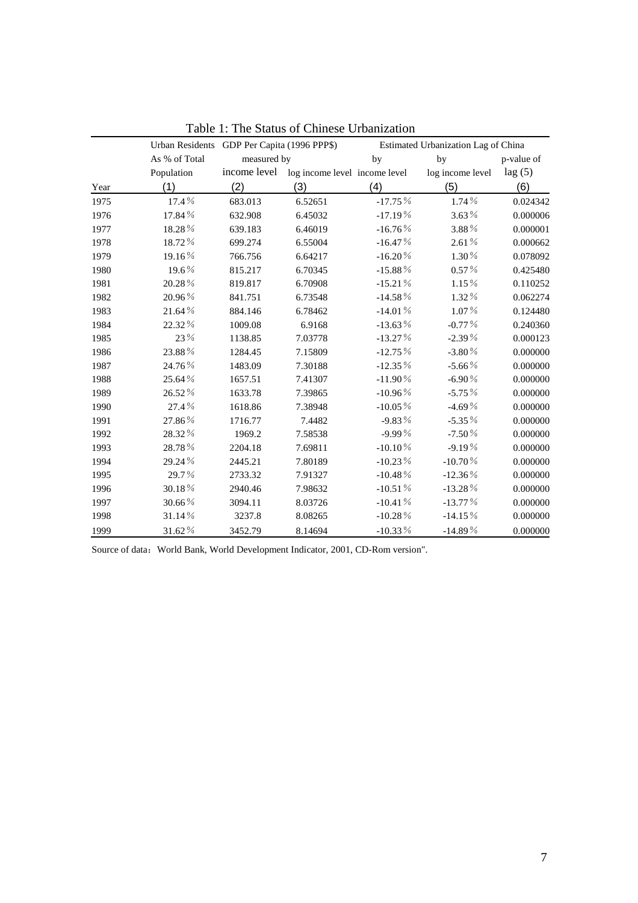|      | Urban Residents GDP Per Capita (1996 PPP\$) |              |                               |              | Estimated Urbanization Lag of China |            |
|------|---------------------------------------------|--------------|-------------------------------|--------------|-------------------------------------|------------|
|      | As % of Total                               | measured by  |                               | by           | by                                  | p-value of |
|      | Population                                  | income level | log income level income level |              | log income level                    | lag(5)     |
| Year | (1)                                         | (2)          | (3)                           | (4)          | (5)                                 | (6)        |
| 1975 | 17.4%                                       | 683.013      | 6.52651                       | $-17.75%$    | 1.74%                               | 0.024342   |
| 1976 | 17.84%                                      | 632.908      | 6.45032                       | $-17.19%$    | $3.63\%$                            | 0.000006   |
| 1977 | 18.28%                                      | 639.183      | 6.46019                       | $-16.76%$    | 3.88%                               | 0.000001   |
| 1978 | 18.72%                                      | 699.274      | 6.55004                       | $-16.47%$    | $2.61\%$                            | 0.000662   |
| 1979 | 19.16%                                      | 766.756      | 6.64217                       | $-16.20\%$   | $1.30\%$                            | 0.078092   |
| 1980 | 19.6%                                       | 815.217      | 6.70345                       | $-15.88\%$   | $0.57\%$                            | 0.425480   |
| 1981 | 20.28%                                      | 819.817      | 6.70908                       | $-15.21%$    | 1.15%                               | 0.110252   |
| 1982 | 20.96%                                      | 841.751      | 6.73548                       | $-14.58\%$   | 1.32%                               | 0.062274   |
| 1983 | $21.64\,\%$                                 | 884.146      | 6.78462                       | $-14.01\,\%$ | $1.07\%$                            | 0.124480   |
| 1984 | 22.32 %                                     | 1009.08      | 6.9168                        | $-13.63\%$   | $-0.77\%$                           | 0.240360   |
| 1985 | 23%                                         | 1138.85      | 7.03778                       | $-13.27%$    | $-2.39%$                            | 0.000123   |
| 1986 | 23.88%                                      | 1284.45      | 7.15809                       | $-12.75%$    | $-3.80\%$                           | 0.000000   |
| 1987 | 24.76%                                      | 1483.09      | 7.30188                       | $-12.35%$    | $-5.66\%$                           | 0.000000   |
| 1988 | 25.64%                                      | 1657.51      | 7.41307                       | $-11.90\%$   | $-6.90\%$                           | 0.000000   |
| 1989 | 26.52%                                      | 1633.78      | 7.39865                       | $-10.96\%$   | $-5.75%$                            | 0.000000   |
| 1990 | 27.4%                                       | 1618.86      | 7.38948                       | $-10.05\%$   | $-4.69%$                            | 0.000000   |
| 1991 | 27.86%                                      | 1716.77      | 7.4482                        | $-9.83%$     | $-5.35%$                            | 0.000000   |
| 1992 | 28.32%                                      | 1969.2       | 7.58538                       | $-9.99%$     | $-7.50%$                            | 0.000000   |
| 1993 | 28.78%                                      | 2204.18      | 7.69811                       | $-10.10\%$   | $-9.19%$                            | 0.000000   |
| 1994 | 29.24%                                      | 2445.21      | 7.80189                       | $-10.23%$    | $-10.70%$                           | 0.000000   |
| 1995 | 29.7%                                       | 2733.32      | 7.91327                       | -10.48 $\%$  | $-12.36\%$                          | 0.000000   |
| 1996 | 30.18%                                      | 2940.46      | 7.98632                       | $-10.51\%$   | $-13.28\%$                          | 0.000000   |
| 1997 | 30.66%                                      | 3094.11      | 8.03726                       | $-10.41%$    | $-13.77%$                           | 0.000000   |
| 1998 | 31.14%                                      | 3237.8       | 8.08265                       | $-10.28\%$   | $-14.15%$                           | 0.000000   |
| 1999 | 31.62%                                      | 3452.79      | 8.14694                       | -10.33 $\%$  | $-14.89\%$                          | 0.000000   |

Table 1: The Status of Chinese Urbanization

Source of data: World Bank, World Development Indicator, 2001, CD-Rom version".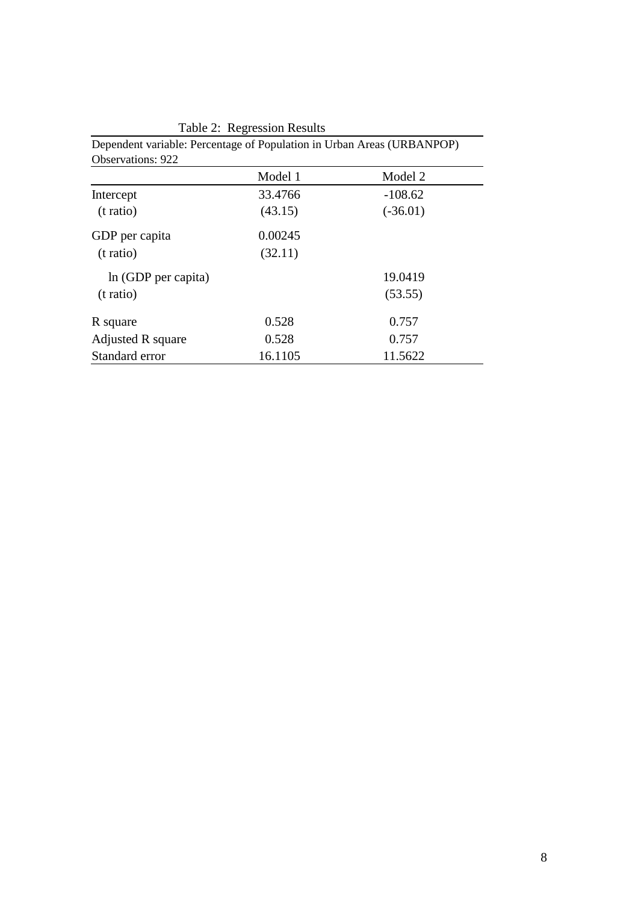| <b>Observations: 922</b> |         |            |  |
|--------------------------|---------|------------|--|
|                          | Model 1 | Model 2    |  |
| Intercept                | 33.4766 | $-108.62$  |  |
| (t ratio)                | (43.15) | $(-36.01)$ |  |
| GDP per capita           | 0.00245 |            |  |
| (t ratio)                | (32.11) |            |  |
| In (GDP per capita)      |         | 19.0419    |  |
| (t ratio)                |         | (53.55)    |  |
| R square                 | 0.528   | 0.757      |  |
| Adjusted R square        | 0.528   | 0.757      |  |
| Standard error           | 16.1105 | 11.5622    |  |

Table 2: Regression Results

Dependent variable: Percentage of Population in Urban Areas (URBANPOP)